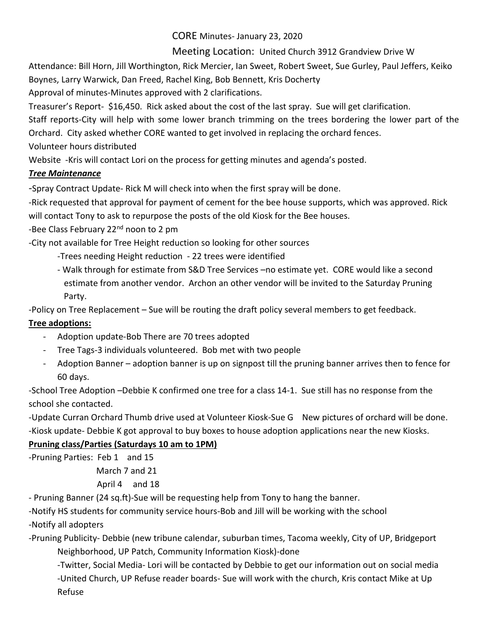#### CORE Minutes- January 23, 2020

## Meeting Location: United Church 3912 Grandview Drive W

Attendance: Bill Horn, Jill Worthington, Rick Mercier, Ian Sweet, Robert Sweet, Sue Gurley, Paul Jeffers, Keiko Boynes, Larry Warwick, Dan Freed, Rachel King, Bob Bennett, Kris Docherty

Approval of minutes-Minutes approved with 2 clarifications.

Treasurer's Report- \$16,450. Rick asked about the cost of the last spray. Sue will get clarification.

Staff reports-City will help with some lower branch trimming on the trees bordering the lower part of the Orchard. City asked whether CORE wanted to get involved in replacing the orchard fences.

Volunteer hours distributed

Website -Kris will contact Lori on the process for getting minutes and agenda's posted.

# *Tree Maintenance*

-Spray Contract Update- Rick M will check into when the first spray will be done.

-Rick requested that approval for payment of cement for the bee house supports, which was approved. Rick will contact Tony to ask to repurpose the posts of the old Kiosk for the Bee houses.

-Bee Class February 22<sup>nd</sup> noon to 2 pm

-City not available for Tree Height reduction so looking for other sources

- -Trees needing Height reduction 22 trees were identified
- Walk through for estimate from S&D Tree Services –no estimate yet. CORE would like a second estimate from another vendor. Archon an other vendor will be invited to the Saturday Pruning Party.

-Policy on Tree Replacement – Sue will be routing the draft policy several members to get feedback.

## **Tree adoptions:**

- Adoption update-Bob There are 70 trees adopted
- Tree Tags-3 individuals volunteered. Bob met with two people
- Adoption Banner adoption banner is up on signpost till the pruning banner arrives then to fence for 60 days.

-School Tree Adoption –Debbie K confirmed one tree for a class 14-1. Sue still has no response from the school she contacted.

-Update Curran Orchard Thumb drive used at Volunteer Kiosk-Sue G New pictures of orchard will be done. -Kiosk update- Debbie K got approval to buy boxes to house adoption applications near the new Kiosks.

## **Pruning class/Parties (Saturdays 10 am to 1PM)**

-Pruning Parties: Feb 1 and 15 March 7 and 21

April 4 and 18

- Pruning Banner (24 sq.ft)-Sue will be requesting help from Tony to hang the banner.

-Notify HS students for community service hours-Bob and Jill will be working with the school -Notify all adopters

-Pruning Publicity- Debbie (new tribune calendar, suburban times, Tacoma weekly, City of UP, Bridgeport Neighborhood, UP Patch, Community Information Kiosk)-done

-Twitter, Social Media- Lori will be contacted by Debbie to get our information out on social media -United Church, UP Refuse reader boards- Sue will work with the church, Kris contact Mike at Up Refuse